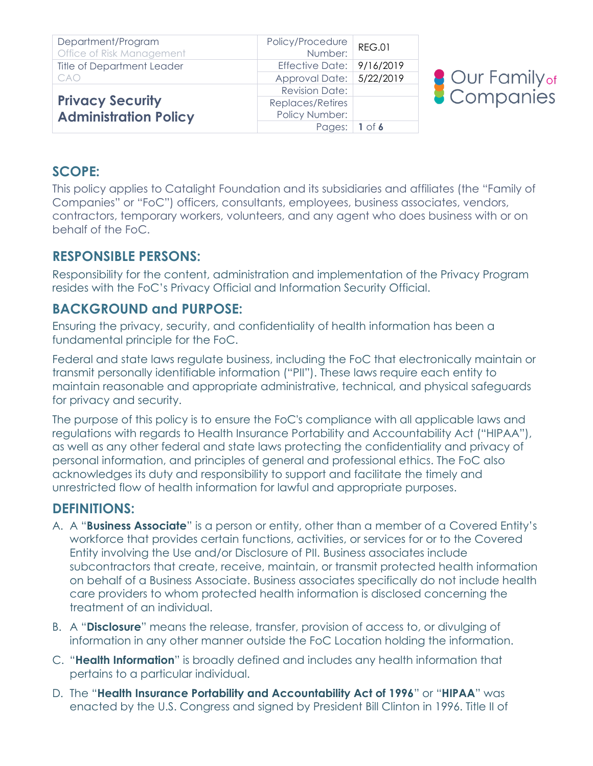| Department/Program<br>Office of Risk Management | Policy/Procedure<br>Number: | <b>REG.01</b> |
|-------------------------------------------------|-----------------------------|---------------|
| <b>Title of Department Leader</b>               | <b>Effective Date:</b>      | 9/16/2019     |
| CAO                                             | Approval Date: 5/22/2019    |               |
|                                                 | <b>Revision Date:</b>       |               |
| <b>Privacy Security</b>                         | Replaces/Retires            |               |
| <b>Administration Policy</b>                    | Policy Number:              |               |
|                                                 | Pages:                      | $1$ of 6      |



### **SCOPE:**

This policy applies to Catalight Foundation and its subsidiaries and affiliates (the "Family of Companies" or "FoC") officers, consultants, employees, business associates, vendors, contractors, temporary workers, volunteers, and any agent who does business with or on behalf of the FoC.

## **RESPONSIBLE PERSONS:**

Responsibility for the content, administration and implementation of the Privacy Program resides with the FoC's Privacy Official and Information Security Official.

## **BACKGROUND and PURPOSE:**

Ensuring the privacy, security, and confidentiality of health information has been a fundamental principle for the FoC.

Federal and state laws regulate business, including the FoC that electronically maintain or transmit personally identifiable information ("PII"). These laws require each entity to maintain reasonable and appropriate administrative, technical, and physical safeguards for privacy and security.

The purpose of this policy is to ensure the FoC's compliance with all applicable laws and regulations with regards to Health Insurance Portability and Accountability Act ("HIPAA"), as well as any other federal and state laws protecting the confidentiality and privacy of personal information, and principles of general and professional ethics. The FoC also acknowledges its duty and responsibility to support and facilitate the timely and unrestricted flow of health information for lawful and appropriate purposes.

### **DEFINITIONS:**

- A. A "**Business Associate**" is a person or entity, other than a member of a Covered Entity's workforce that provides certain functions, activities, or services for or to the Covered Entity involving the Use and/or Disclosure of PII. Business associates include subcontractors that create, receive, maintain, or transmit protected health information on behalf of a Business Associate. Business associates specifically do not include health care providers to whom protected health information is disclosed concerning the treatment of an individual.
- B. A "**Disclosure**" means the release, transfer, provision of access to, or divulging of information in any other manner outside the FoC Location holding the information.
- C. "**Health Information**" is broadly defined and includes any health information that pertains to a particular individual.
- D. The "**Health Insurance Portability and Accountability Act of 1996**" or "**HIPAA**" was enacted by the U.S. Congress and signed by President Bill Clinton in 1996. Title II of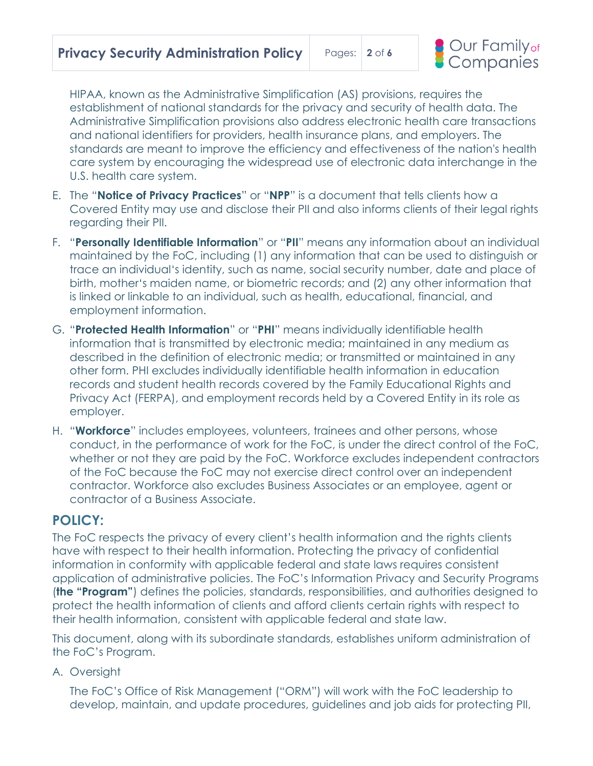

HIPAA, known as the Administrative Simplification (AS) provisions, requires the establishment of national standards for the privacy and security of health data. The Administrative Simplification provisions also address electronic health care transactions and national identifiers for providers, health insurance plans, and employers. The standards are meant to improve the efficiency and effectiveness of the nation's health care system by encouraging the widespread use of electronic data interchange in the U.S. health care system.

- E. The "**Notice of Privacy Practices**" or "**NPP**" is a document that tells clients how a Covered Entity may use and disclose their PII and also informs clients of their legal rights regarding their PII.
- F. "**Personally Identifiable Information**" or "**PII**" means any information about an individual maintained by the FoC, including (1) any information that can be used to distinguish or trace an individual's identity, such as name, social security number, date and place of birth, mother's maiden name, or biometric records; and (2) any other information that is linked or linkable to an individual, such as health, educational, financial, and employment information.
- G. "**Protected Health Information**" or "**PHI**" means individually identifiable health information that is transmitted by electronic media; maintained in any medium as described in the definition of electronic media; or transmitted or maintained in any other form. PHI excludes individually identifiable health information in education records and student health records covered by the Family Educational Rights and Privacy Act (FERPA), and employment records held by a Covered Entity in its role as employer.
- H. "**Workforce**" includes employees, volunteers, trainees and other persons, whose conduct, in the performance of work for the FoC, is under the direct control of the FoC, whether or not they are paid by the FoC. Workforce excludes independent contractors of the FoC because the FoC may not exercise direct control over an independent contractor. Workforce also excludes Business Associates or an employee, agent or contractor of a Business Associate.

### **POLICY:**

The FoC respects the privacy of every client's health information and the rights clients have with respect to their health information. Protecting the privacy of confidential information in conformity with applicable federal and state laws requires consistent application of administrative policies. The FoC's Information Privacy and Security Programs (**the "Program"**) defines the policies, standards, responsibilities, and authorities designed to protect the health information of clients and afford clients certain rights with respect to their health information, consistent with applicable federal and state law.

This document, along with its subordinate standards, establishes uniform administration of the FoC's Program.

A. Oversight

The FoC's Office of Risk Management ("ORM") will work with the FoC leadership to develop, maintain, and update procedures, guidelines and job aids for protecting PII,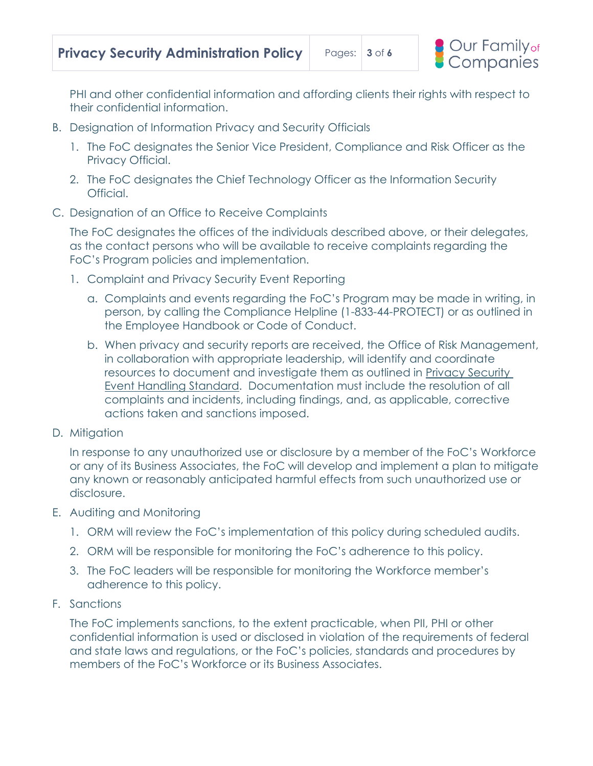PHI and other confidential information and affording clients their rights with respect to their confidential information.

- B. Designation of Information Privacy and Security Officials
	- 1. The FoC designates the Senior Vice President, Compliance and Risk Officer as the Privacy Official.
	- 2. The FoC designates the Chief Technology Officer as the Information Security Official.
- C. Designation of an Office to Receive Complaints

The FoC designates the offices of the individuals described above, or their delegates, as the contact persons who will be available to receive complaints regarding the FoC's Program policies and implementation.

- 1. Complaint and Privacy Security Event Reporting
	- a. Complaints and events regarding the FoC's Program may be made in writing, in person, by calling the Compliance Helpline (1-833-44-PROTECT) or as outlined in the Employee Handbook or Code of Conduct.
	- b. When privacy and security reports are received, the Office of Risk Management, in collaboration with appropriate leadership, will identify and coordinate resources to document and investigate them as outlined in Privacy Security Event Handling Standard. Documentation must include the resolution of all complaints and incidents, including findings, and, as applicable, corrective actions taken and sanctions imposed.
- D. Mitigation

In response to any unauthorized use or disclosure by a member of the FoC's Workforce or any of its Business Associates, the FoC will develop and implement a plan to mitigate any known or reasonably anticipated harmful effects from such unauthorized use or disclosure.

- E. Auditing and Monitoring
	- 1. ORM will review the FoC's implementation of this policy during scheduled audits.
	- 2. ORM will be responsible for monitoring the FoC's adherence to this policy.
	- 3. The FoC leaders will be responsible for monitoring the Workforce member's adherence to this policy.
- F. Sanctions

The FoC implements sanctions, to the extent practicable, when PII, PHI or other confidential information is used or disclosed in violation of the requirements of federal and state laws and regulations, or the FoC's policies, standards and procedures by members of the FoC's Workforce or its Business Associates.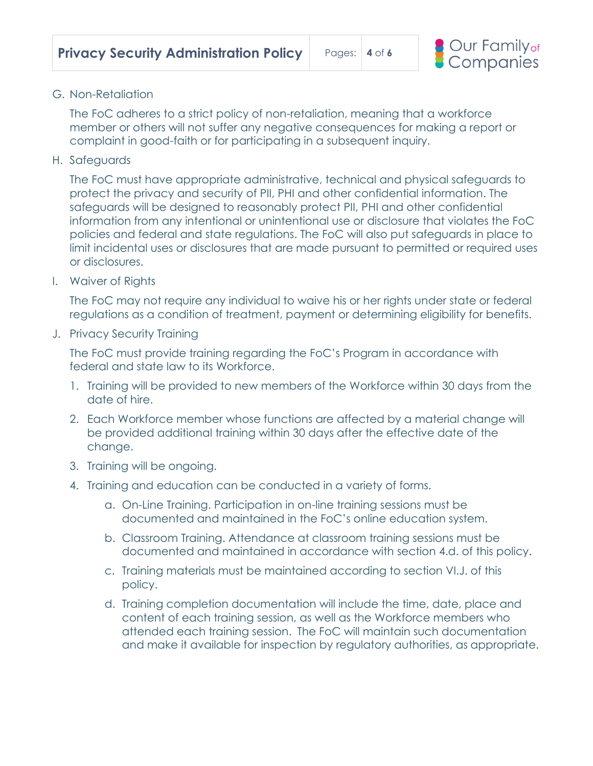

### G. Non-Retaliation

The FoC adheres to a strict policy of non-retaliation, meaning that a workforce member or others will not suffer any negative consequences for making a report or complaint in good-faith or for participating in a subsequent inquiry.

H. Safeguards

The FoC must have appropriate administrative, technical and physical safeguards to protect the privacy and security of PII, PHI and other confidential information. The safeguards will be designed to reasonably protect PII, PHI and other confidential information from any intentional or unintentional use or disclosure that violates the FoC policies and federal and state regulations. The FoC will also put safeguards in place to limit incidental uses or disclosures that are made pursuant to permitted or required uses or disclosures.

I. Waiver of Rights

The FoC may not require any individual to waive his or her rights under state or federal regulations as a condition of treatment, payment or determining eligibility for benefits.

J. Privacy Security Training

The FoC must provide training regarding the FoC's Program in accordance with federal and state law to its Workforce.

- 1. Training will be provided to new members of the Workforce within 30 days from the date of hire.
- 2. Each Workforce member whose functions are affected by a material change will be provided additional training within 30 days after the effective date of the change.
- 3. Training will be ongoing.
- 4. Training and education can be conducted in a variety of forms.
	- a. On-Line Training. Participation in on-line training sessions must be documented and maintained in the FoC's online education system.
	- b. Classroom Training. Attendance at classroom training sessions must be documented and maintained in accordance with section 4.d. of this policy.
	- c. Training materials must be maintained according to section VI.J. of this policy.
	- d. Training completion documentation will include the time, date, place and content of each training session, as well as the Workforce members who attended each training session. The FoC will maintain such documentation and make it available for inspection by regulatory authorities, as appropriate.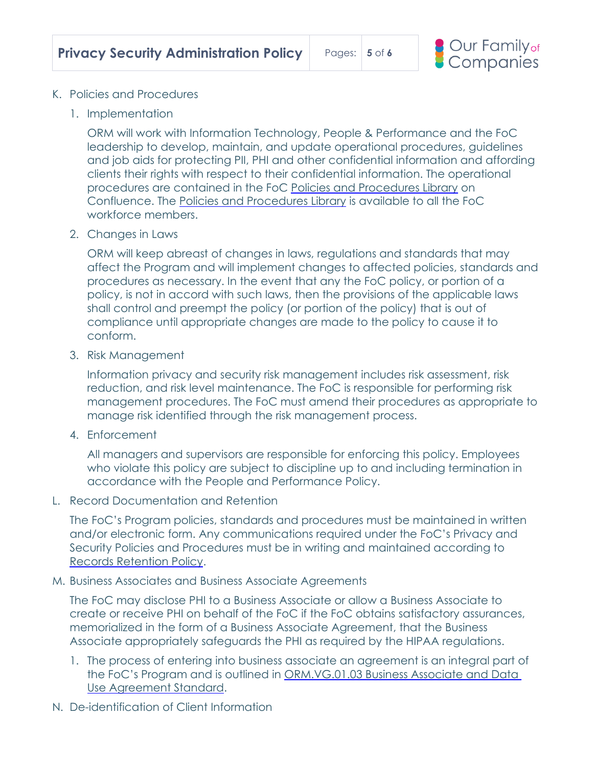

- K. Policies and Procedures
	- 1. Implementation

ORM will work with Information Technology, People & Performance and the FoC leadership to develop, maintain, and update operational procedures, guidelines and job aids for protecting PII, PHI and other confidential information and affording clients their rights with respect to their confidential information. The operational procedures are contained in the FoC Policies and Procedures Library on Confluence. The Policies and Procedures Library is available to all the FoC workforce members.

2. Changes in Laws

ORM will keep abreast of changes in laws, regulations and standards that may affect the Program and will implement changes to affected policies, standards and procedures as necessary. In the event that any the FoC policy, or portion of a policy, is not in accord with such laws, then the provisions of the applicable laws shall control and preempt the policy (or portion of the policy) that is out of compliance until appropriate changes are made to the policy to cause it to conform.

3. Risk Management

Information privacy and security risk management includes risk assessment, risk reduction, and risk level maintenance. The FoC is responsible for performing risk management procedures. The FoC must amend their procedures as appropriate to manage risk identified through the risk management process.

4. Enforcement

All managers and supervisors are responsible for enforcing this policy. Employees who violate this policy are subject to discipline up to and including termination in accordance with the People and Performance Policy.

L. Record Documentation and Retention

The FoC's Program policies, standards and procedures must be maintained in written and/or electronic form. Any communications required under the FoC's Privacy and Security Policies and Procedures must be in writing and maintained according to Records Retention Policy.

M. Business Associates and Business Associate Agreements

The FoC may disclose PHI to a Business Associate or allow a Business Associate to create or receive PHI on behalf of the FoC if the FoC obtains satisfactory assurances, memorialized in the form of a Business Associate Agreement, that the Business Associate appropriately safeguards the PHI as required by the HIPAA regulations.

- 1. The process of entering into business associate an agreement is an integral part of the FoC's Program and is outlined in ORM.VG.01.03 Business Associate and Data Use Agreement Standard.
- N. De-identification of Client Information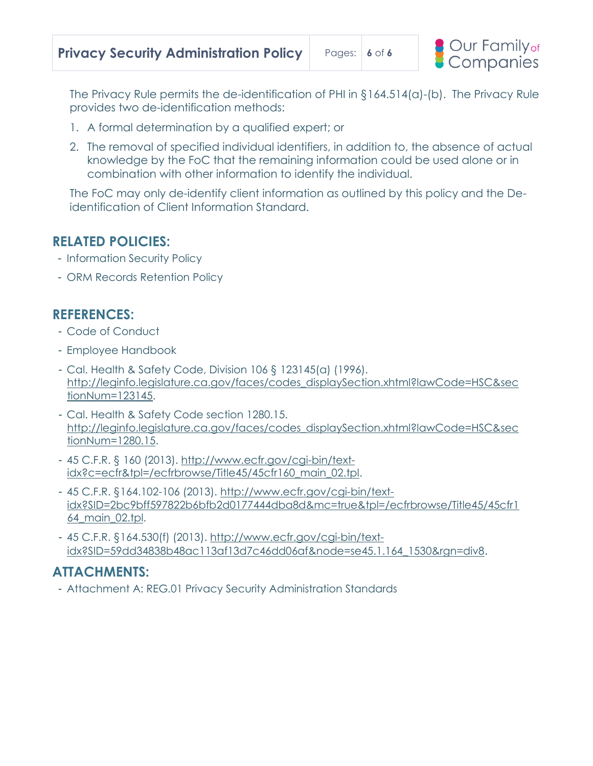

The Privacy Rule permits the de-identification of PHI in §164.514(a)-(b). The Privacy Rule provides two de-identification methods:

- 1. A formal determination by a qualified expert; or
- 2. The removal of specified individual identifiers, in addition to, the absence of actual knowledge by the FoC that the remaining information could be used alone or in combination with other information to identify the individual.

The FoC may only de-identify client information as outlined by this policy and the Deidentification of Client Information Standard.

# **RELATED POLICIES:**

- Information Security Policy
- ORM Records Retention Policy

## **REFERENCES:**

- Code of Conduct
- Employee Handbook
- Cal. Health & Safety Code, Division 106 § 123145(a) (1996). [http://leginfo.legislature.ca.gov/faces/codes\\_displaySection.xhtml?lawCode=HSC&sec](http://leginfo.legislature.ca.gov/faces/codes_displaySection.xhtml?lawCode=HSC§ionNum=123145) [tionNum=123145.](http://leginfo.legislature.ca.gov/faces/codes_displaySection.xhtml?lawCode=HSC§ionNum=123145)
- Cal. Health & Safety Code section 1280.15. [http://leginfo.legislature.ca.gov/faces/codes\\_displaySection.xhtml?lawCode=HSC&sec](http://leginfo.legislature.ca.gov/faces/codes_displaySection.xhtml?lawCode=HSC§ionNum=1280.15) [tionNum=1280.15.](http://leginfo.legislature.ca.gov/faces/codes_displaySection.xhtml?lawCode=HSC§ionNum=1280.15)
- 45 C.F.R. § 160 (2013). [http://www.ecfr.gov/cgi-bin/text](http://www.ecfr.gov/cgi-bin/text-idx?c=ecfr&tpl=/ecfrbrowse/Title45/45cfr160_main_02.tpl)[idx?c=ecfr&tpl=/ecfrbrowse/Title45/45cfr160\\_main\\_02.tpl.](http://www.ecfr.gov/cgi-bin/text-idx?c=ecfr&tpl=/ecfrbrowse/Title45/45cfr160_main_02.tpl)
- 45 C.F.R. §164.102-106 (2013). [http://www.ecfr.gov/cgi-bin/text](http://www.ecfr.gov/cgi-bin/text-idx?SID=2bc9bff597822b6bfb2d0177444dba8d&mc=true&tpl=/ecfrbrowse/Title45/45cfr164_main_02.tpl)[idx?SID=2bc9bff597822b6bfb2d0177444dba8d&mc=true&tpl=/ecfrbrowse/Title45/45cfr1](http://www.ecfr.gov/cgi-bin/text-idx?SID=2bc9bff597822b6bfb2d0177444dba8d&mc=true&tpl=/ecfrbrowse/Title45/45cfr164_main_02.tpl) [64\\_main\\_02.tpl.](http://www.ecfr.gov/cgi-bin/text-idx?SID=2bc9bff597822b6bfb2d0177444dba8d&mc=true&tpl=/ecfrbrowse/Title45/45cfr164_main_02.tpl)
- 45 C.F.R. §164.530(f) (2013). [http://www.ecfr.gov/cgi-bin/text](http://www.ecfr.gov/cgi-bin/text-idx?SID=59dd34838b48ac113af13d7c46dd06af&node=se45.1.164_1530&rgn=div8)[idx?SID=59dd34838b48ac113af13d7c46dd06af&node=se45.1.164\\_1530&rgn=div8](http://www.ecfr.gov/cgi-bin/text-idx?SID=59dd34838b48ac113af13d7c46dd06af&node=se45.1.164_1530&rgn=div8).

# **ATTACHMENTS:**

- Attachment A: REG.01 Privacy Security Administration Standards